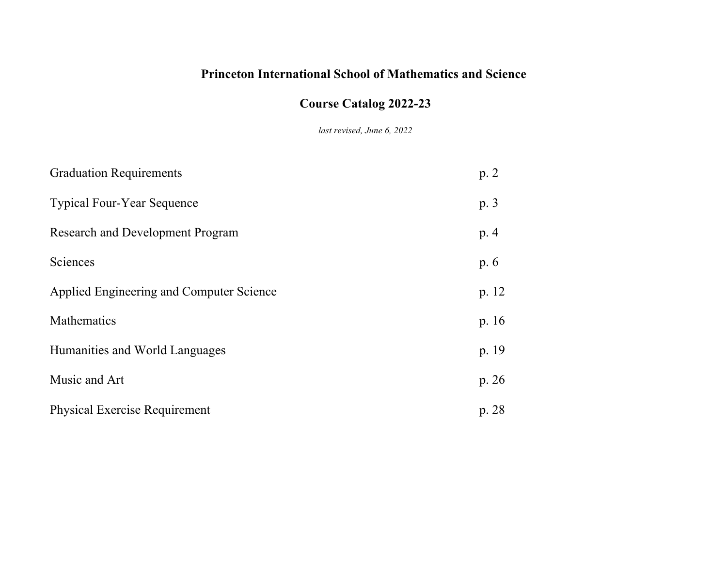# **Princeton International School of Mathematics and Science**

# **Course Catalog 2022-23**

*last revised, June 6, 2022*

| <b>Graduation Requirements</b>           | p.2   |
|------------------------------------------|-------|
| <b>Typical Four-Year Sequence</b>        | p.3   |
| Research and Development Program         | p.4   |
| Sciences                                 | p. 6  |
| Applied Engineering and Computer Science | p. 12 |
| Mathematics                              | p. 16 |
| Humanities and World Languages           | p. 19 |
| Music and Art                            | p. 26 |
| <b>Physical Exercise Requirement</b>     | p. 28 |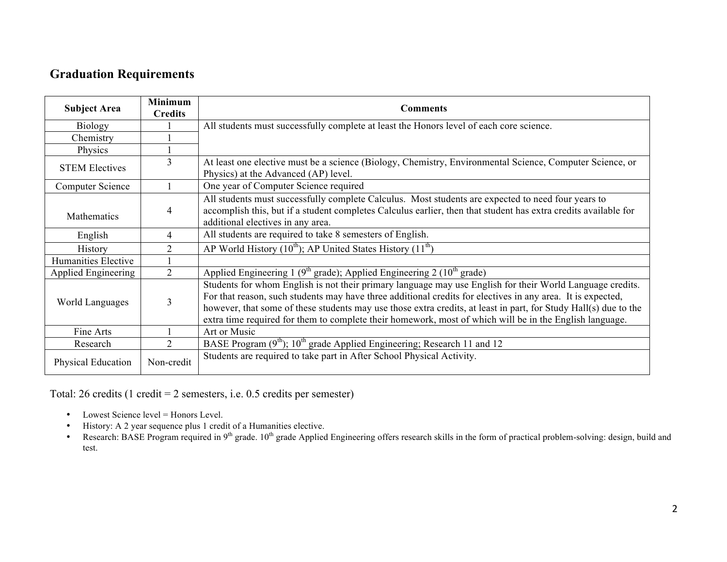# **Graduation Requirements**

| <b>Subject Area</b>     | <b>Minimum</b><br><b>Credits</b> | <b>Comments</b>                                                                                                                                                                                                                                                                                                                                                                                                                                         |  |  |
|-------------------------|----------------------------------|---------------------------------------------------------------------------------------------------------------------------------------------------------------------------------------------------------------------------------------------------------------------------------------------------------------------------------------------------------------------------------------------------------------------------------------------------------|--|--|
| <b>Biology</b>          |                                  | All students must successfully complete at least the Honors level of each core science.                                                                                                                                                                                                                                                                                                                                                                 |  |  |
| Chemistry               |                                  |                                                                                                                                                                                                                                                                                                                                                                                                                                                         |  |  |
| Physics                 |                                  |                                                                                                                                                                                                                                                                                                                                                                                                                                                         |  |  |
| <b>STEM Electives</b>   | 3                                | At least one elective must be a science (Biology, Chemistry, Environmental Science, Computer Science, or<br>Physics) at the Advanced (AP) level.                                                                                                                                                                                                                                                                                                        |  |  |
| <b>Computer Science</b> |                                  | One year of Computer Science required                                                                                                                                                                                                                                                                                                                                                                                                                   |  |  |
| Mathematics             | 4                                | All students must successfully complete Calculus. Most students are expected to need four years to<br>accomplish this, but if a student completes Calculus earlier, then that student has extra credits available for<br>additional electives in any area.                                                                                                                                                                                              |  |  |
| English                 | 4                                | All students are required to take 8 semesters of English.                                                                                                                                                                                                                                                                                                                                                                                               |  |  |
| History                 | $\mathcal{D}$                    | AP World History $(10^{th})$ ; AP United States History $(11^{th})$                                                                                                                                                                                                                                                                                                                                                                                     |  |  |
| Humanities Elective     |                                  |                                                                                                                                                                                                                                                                                                                                                                                                                                                         |  |  |
| Applied Engineering     | 2                                | Applied Engineering 1 ( $9th$ grade); Applied Engineering 2 ( $10th$ grade)                                                                                                                                                                                                                                                                                                                                                                             |  |  |
| 3<br>World Languages    |                                  | Students for whom English is not their primary language may use English for their World Language credits.<br>For that reason, such students may have three additional credits for electives in any area. It is expected,<br>however, that some of these students may use those extra credits, at least in part, for Study Hall(s) due to the<br>extra time required for them to complete their homework, most of which will be in the English language. |  |  |
| Fine Arts               |                                  | Art or Music                                                                                                                                                                                                                                                                                                                                                                                                                                            |  |  |
| Research                | $\mathfrak{D}$                   | BASE Program (9 <sup>th</sup> ); 10 <sup>th</sup> grade Applied Engineering; Research 11 and 12                                                                                                                                                                                                                                                                                                                                                         |  |  |
| Physical Education      | Non-credit                       | Students are required to take part in After School Physical Activity.                                                                                                                                                                                                                                                                                                                                                                                   |  |  |

Total: 26 credits (1 credit = 2 semesters, i.e. 0.5 credits per semester)

- Lowest Science level = Honors Level.
- History: A 2 year sequence plus 1 credit of a Humanities elective.
- Research: BASE Program required in 9<sup>th</sup> grade. 10<sup>th</sup> grade Applied Engineering offers research skills in the form of practical problem-solving: design, build and test.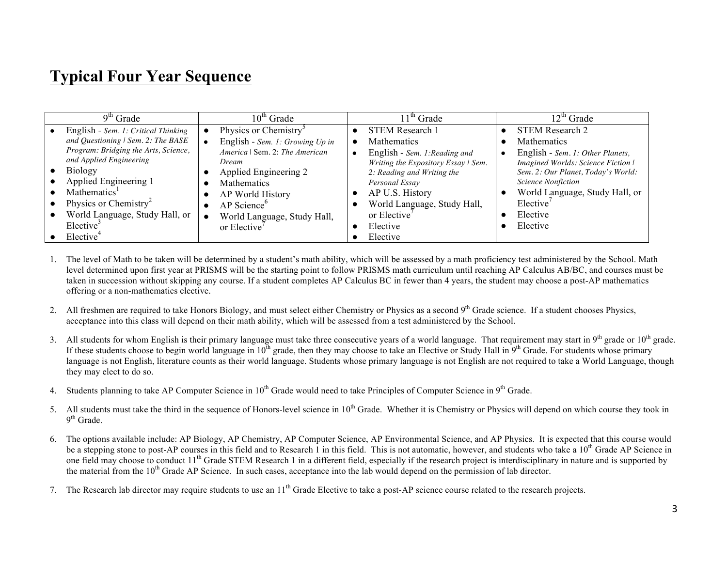# **Typical Four Year Sequence**

| $9th$ Grade                          | $10^{\text{th}}$ Grade            | $11th$ Grade                        | $12^{th}$ Grade                    |
|--------------------------------------|-----------------------------------|-------------------------------------|------------------------------------|
| English - Sem. 1: Critical Thinking  | Physics or Chemistry <sup>3</sup> | <b>STEM Research 1</b>              | <b>STEM Research 2</b>             |
| and Questioning   Sem. 2: The BASE   | English - Sem. 1: Growing Up in   | <b>Mathematics</b>                  | <b>Mathematics</b>                 |
| Program: Bridging the Arts, Science, | America   Sem. 2: The American    | English - Sem. 1: Reading and       | English - Sem. 1: Other Planets,   |
| and Applied Engineering              | Dream                             | Writing the Expository Essay   Sem. | Imagined Worlds: Science Fiction   |
| <b>Biology</b>                       | Applied Engineering 2             | 2: Reading and Writing the          | Sem. 2: Our Planet, Today's World: |
| Applied Engineering 1                | <b>Mathematics</b>                | Personal Essay                      | <b>Science Nonfiction</b>          |
| Mathematics <sup>1</sup>             | AP World History                  | AP U.S. History                     | World Language, Study Hall, or     |
| Physics or Chemistry <sup>2</sup>    | AP Science <sup>o</sup>           | World Language, Study Hall,         | Elective <sup>'</sup>              |
| World Language, Study Hall, or       | World Language, Study Hall,       | or Elective'                        | Elective                           |
| Elective <sup>3</sup>                | or Elective                       | Elective                            | Elective                           |
| Elective <sup>4</sup>                |                                   | Elective                            |                                    |

- 1. The level of Math to be taken will be determined by a student's math ability, which will be assessed by a math proficiency test administered by the School. Math level determined upon first year at PRISMS will be the starting point to follow PRISMS math curriculum until reaching AP Calculus AB/BC, and courses must be taken in succession without skipping any course. If a student completes AP Calculus BC in fewer than 4 years, the student may choose a post-AP mathematics offering or a non-mathematics elective.
- 2. All freshmen are required to take Honors Biology, and must select either Chemistry or Physics as a second 9<sup>th</sup> Grade science. If a student chooses Physics, acceptance into this class will depend on their math ability, which will be assessed from a test administered by the School.
- 3. All students for whom English is their primary language must take three consecutive years of a world language. That requirement may start in 9<sup>th</sup> grade or  $10^{th}$  grade. If these students choose to begin world language in  $10^{th}$  grade, then they may choose to take an Elective or Study Hall in  $9^{th}$  Grade. For students whose primary language is not English, literature counts as their world language. Students whose primary language is not English are not required to take a World Language, though they may elect to do so.
- 4. Students planning to take AP Computer Science in  $10^{th}$  Grade would need to take Principles of Computer Science in  $9^{th}$  Grade.
- 5. All students must take the third in the sequence of Honors-level science in  $10<sup>th</sup>$  Grade. Whether it is Chemistry or Physics will depend on which course they took in  $9<sup>th</sup>$  Grade.
- 6. The options available include: AP Biology, AP Chemistry, AP Computer Science, AP Environmental Science, and AP Physics. It is expected that this course would be a stepping stone to post-AP courses in this field and to Research 1 in this field. This is not automatic, however, and students who take a  $10<sup>th</sup>$  Grade AP Science in one field may choose to conduct 11<sup>th</sup> Grade STEM Research 1 in a different field, especially if the research project is interdisciplinary in nature and is supported by the material from the 10<sup>th</sup> Grade AP Science. In such cases, acceptance into the lab would depend on the permission of lab director.
- 7. The Research lab director may require students to use an  $11<sup>th</sup>$  Grade Elective to take a post-AP science course related to the research projects.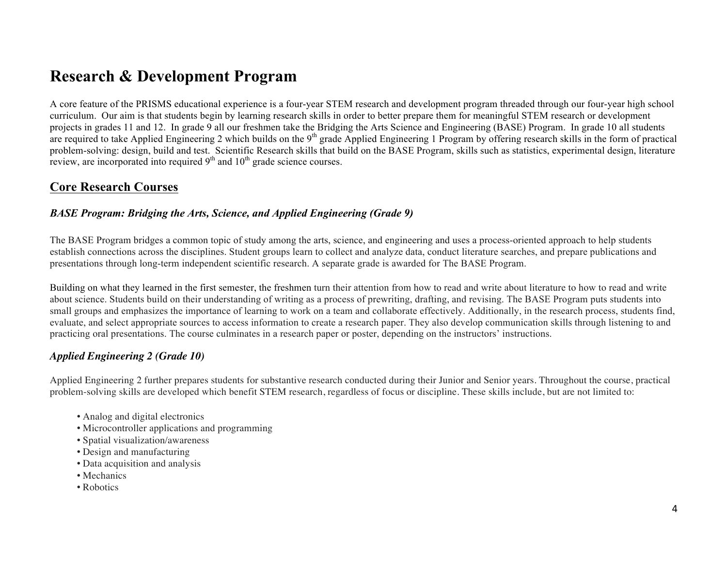# **Research & Development Program**

A core feature of the PRISMS educational experience is a four-year STEM research and development program threaded through our four-year high school curriculum. Our aim is that students begin by learning research skills in order to better prepare them for meaningful STEM research or development projects in grades 11 and 12. In grade 9 all our freshmen take the Bridging the Arts Science and Engineering (BASE) Program. In grade 10 all students are required to take Applied Engineering 2 which builds on the 9<sup>th</sup> grade Applied Engineering 1 Program by offering research skills in the form of practical problem-solving: design, build and test. Scientific Research skills that build on the BASE Program, skills such as statistics, experimental design, literature review, are incorporated into required  $9<sup>th</sup>$  and  $10<sup>th</sup>$  grade science courses.

# **Core Research Courses**

#### *BASE Program: Bridging the Arts, Science, and Applied Engineering (Grade 9)*

The BASE Program bridges a common topic of study among the arts, science, and engineering and uses a process-oriented approach to help students establish connections across the disciplines. Student groups learn to collect and analyze data, conduct literature searches, and prepare publications and presentations through long-term independent scientific research. A separate grade is awarded for The BASE Program.

Building on what they learned in the first semester, the freshmen turn their attention from how to read and write about literature to how to read and write about science. Students build on their understanding of writing as a process of prewriting, drafting, and revising. The BASE Program puts students into small groups and emphasizes the importance of learning to work on a team and collaborate effectively. Additionally, in the research process, students find, evaluate, and select appropriate sources to access information to create a research paper. They also develop communication skills through listening to and practicing oral presentations. The course culminates in a research paper or poster, depending on the instructors' instructions.

# *Applied Engineering 2 (Grade 10)*

Applied Engineering 2 further prepares students for substantive research conducted during their Junior and Senior years. Throughout the course, practical problem-solving skills are developed which benefit STEM research, regardless of focus or discipline. These skills include, but are not limited to:

- Analog and digital electronics
- Microcontroller applications and programming
- Spatial visualization/awareness
- Design and manufacturing
- Data acquisition and analysis
- Mechanics
- Robotics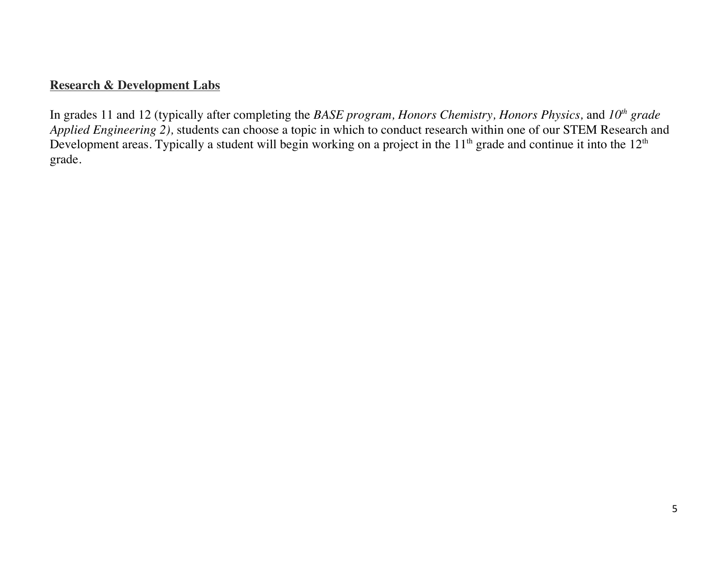# **Research & Development Labs**

In grades 11 and 12 (typically after completing the *BASE program, Honors Chemistry, Honors Physics,* and *10th grade Applied Engineering 2),* students can choose a topic in which to conduct research within one of our STEM Research and Development areas. Typically a student will begin working on a project in the  $11<sup>th</sup>$  grade and continue it into the  $12<sup>th</sup>$ grade.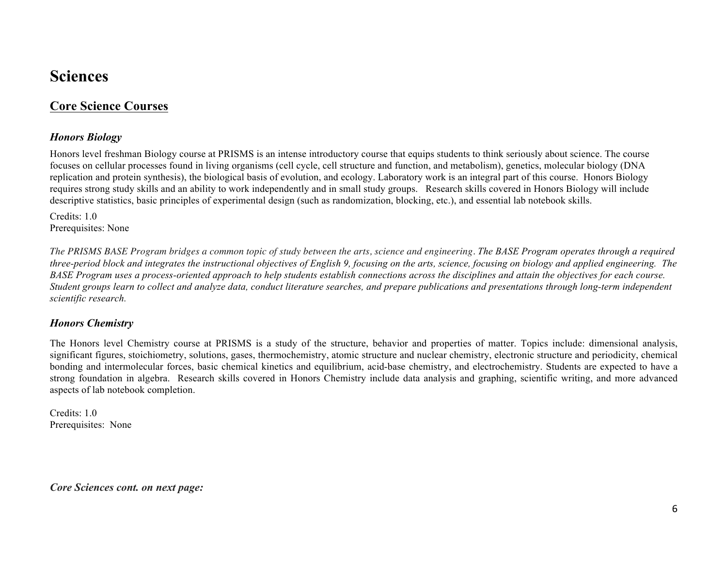# **Sciences**

# **Core Science Courses**

# *Honors Biology*

Honors level freshman Biology course at PRISMS is an intense introductory course that equips students to think seriously about science. The course focuses on cellular processes found in living organisms (cell cycle, cell structure and function, and metabolism), genetics, molecular biology (DNA replication and protein synthesis), the biological basis of evolution, and ecology. Laboratory work is an integral part of this course. Honors Biology requires strong study skills and an ability to work independently and in small study groups. Research skills covered in Honors Biology will include descriptive statistics, basic principles of experimental design (such as randomization, blocking, etc.), and essential lab notebook skills.

Credits: 1.0 Prerequisites: None

*The PRISMS BASE Program bridges a common topic of study between the arts, science and engineering. The BASE Program operates through a required three-period block and integrates the instructional objectives of English 9, focusing on the arts, science, focusing on biology and applied engineering. The BASE Program uses a process-oriented approach to help students establish connections across the disciplines and attain the objectives for each course. Student groups learn to collect and analyze data, conduct literature searches, and prepare publications and presentations through long-term independent scientific research.* 

#### *Honors Chemistry*

The Honors level Chemistry course at PRISMS is a study of the structure, behavior and properties of matter. Topics include: dimensional analysis, significant figures, stoichiometry, solutions, gases, thermochemistry, atomic structure and nuclear chemistry, electronic structure and periodicity, chemical bonding and intermolecular forces, basic chemical kinetics and equilibrium, acid-base chemistry, and electrochemistry. Students are expected to have a strong foundation in algebra. Research skills covered in Honors Chemistry include data analysis and graphing, scientific writing, and more advanced aspects of lab notebook completion.

Credits: 1.0 Prerequisites: None

*Core Sciences cont. on next page:*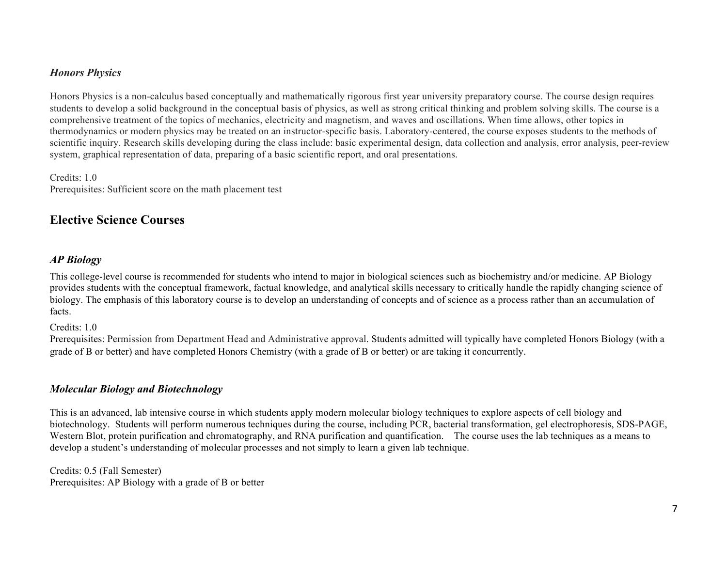## *Honors Physics*

Honors Physics is a non-calculus based conceptually and mathematically rigorous first year university preparatory course. The course design requires students to develop a solid background in the conceptual basis of physics, as well as strong critical thinking and problem solving skills. The course is a comprehensive treatment of the topics of mechanics, electricity and magnetism, and waves and oscillations. When time allows, other topics in thermodynamics or modern physics may be treated on an instructor-specific basis. Laboratory-centered, the course exposes students to the methods of scientific inquiry. Research skills developing during the class include: basic experimental design, data collection and analysis, error analysis, peer-review system, graphical representation of data, preparing of a basic scientific report, and oral presentations.

Credits: 1.0 Prerequisites: Sufficient score on the math placement test

# **Elective Science Courses**

### *AP Biology*

This college-level course is recommended for students who intend to major in biological sciences such as biochemistry and/or medicine. AP Biology provides students with the conceptual framework, factual knowledge, and analytical skills necessary to critically handle the rapidly changing science of biology. The emphasis of this laboratory course is to develop an understanding of concepts and of science as a process rather than an accumulation of facts.

Credits: 1.0

Prerequisites: Permission from Department Head and Administrative approval. Students admitted will typically have completed Honors Biology (with a grade of B or better) and have completed Honors Chemistry (with a grade of B or better) or are taking it concurrently.

#### *Molecular Biology and Biotechnology*

This is an advanced, lab intensive course in which students apply modern molecular biology techniques to explore aspects of cell biology and biotechnology. Students will perform numerous techniques during the course, including PCR, bacterial transformation, gel electrophoresis, SDS-PAGE, Western Blot, protein purification and chromatography, and RNA purification and quantification. The course uses the lab techniques as a means to develop a student's understanding of molecular processes and not simply to learn a given lab technique.

Credits: 0.5 (Fall Semester) Prerequisites: AP Biology with a grade of B or better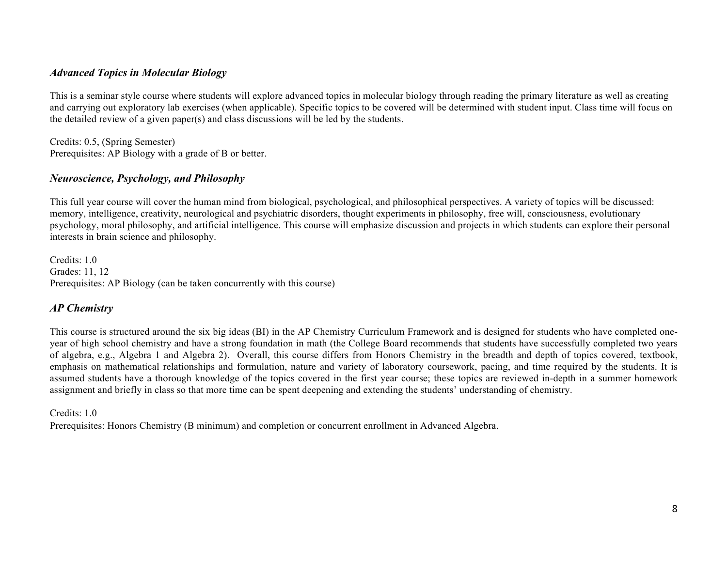#### *Advanced Topics in Molecular Biology*

This is a seminar style course where students will explore advanced topics in molecular biology through reading the primary literature as well as creating and carrying out exploratory lab exercises (when applicable). Specific topics to be covered will be determined with student input. Class time will focus on the detailed review of a given paper(s) and class discussions will be led by the students.

Credits: 0.5, (Spring Semester) Prerequisites: AP Biology with a grade of B or better.

#### *Neuroscience, Psychology, and Philosophy*

This full year course will cover the human mind from biological, psychological, and philosophical perspectives. A variety of topics will be discussed: memory, intelligence, creativity, neurological and psychiatric disorders, thought experiments in philosophy, free will, consciousness, evolutionary psychology, moral philosophy, and artificial intelligence. This course will emphasize discussion and projects in which students can explore their personal interests in brain science and philosophy.

Credits: 1.0 Grades: 11, 12 Prerequisites: AP Biology (can be taken concurrently with this course)

### *AP Chemistry*

This course is structured around the six big ideas (BI) in the AP Chemistry Curriculum Framework and is designed for students who have completed oneyear of high school chemistry and have a strong foundation in math (the College Board recommends that students have successfully completed two years of algebra, e.g., Algebra 1 and Algebra 2). Overall, this course differs from Honors Chemistry in the breadth and depth of topics covered, textbook, emphasis on mathematical relationships and formulation, nature and variety of laboratory coursework, pacing, and time required by the students. It is assumed students have a thorough knowledge of the topics covered in the first year course; these topics are reviewed in-depth in a summer homework assignment and briefly in class so that more time can be spent deepening and extending the students' understanding of chemistry.

Credits: 1.0

Prerequisites: Honors Chemistry (B minimum) and completion or concurrent enrollment in Advanced Algebra.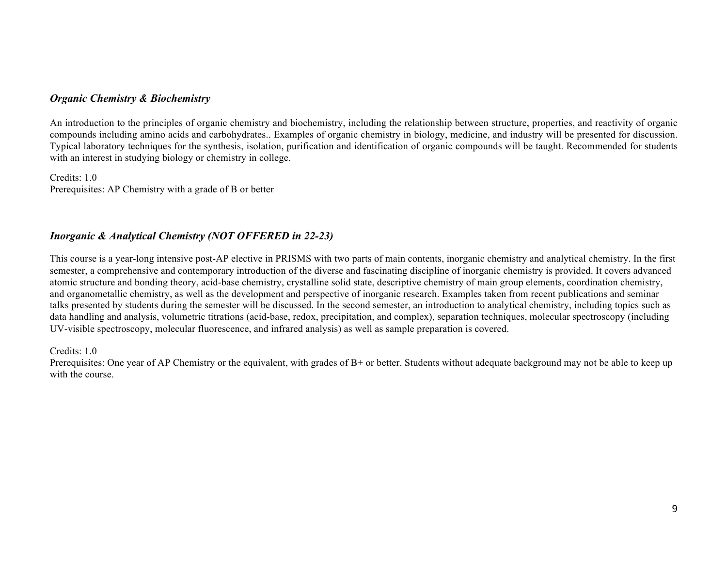#### *Organic Chemistry & Biochemistry*

An introduction to the principles of organic chemistry and biochemistry, including the relationship between structure, properties, and reactivity of organic compounds including amino acids and carbohydrates.. Examples of organic chemistry in biology, medicine, and industry will be presented for discussion. Typical laboratory techniques for the synthesis, isolation, purification and identification of organic compounds will be taught. Recommended for students with an interest in studying biology or chemistry in college.

Credits: 1.0 Prerequisites: AP Chemistry with a grade of B or better

# *Inorganic & Analytical Chemistry (NOT OFFERED in 22-23)*

This course is a year-long intensive post-AP elective in PRISMS with two parts of main contents, inorganic chemistry and analytical chemistry. In the first semester, a comprehensive and contemporary introduction of the diverse and fascinating discipline of inorganic chemistry is provided. It covers advanced atomic structure and bonding theory, acid-base chemistry, crystalline solid state, descriptive chemistry of main group elements, coordination chemistry, and organometallic chemistry, as well as the development and perspective of inorganic research. Examples taken from recent publications and seminar talks presented by students during the semester will be discussed. In the second semester, an introduction to analytical chemistry, including topics such as data handling and analysis, volumetric titrations (acid-base, redox, precipitation, and complex), separation techniques, molecular spectroscopy (including UV-visible spectroscopy, molecular fluorescence, and infrared analysis) as well as sample preparation is covered.

Credits: 1.0

Prerequisites: One year of AP Chemistry or the equivalent, with grades of B+ or better. Students without adequate background may not be able to keep up with the course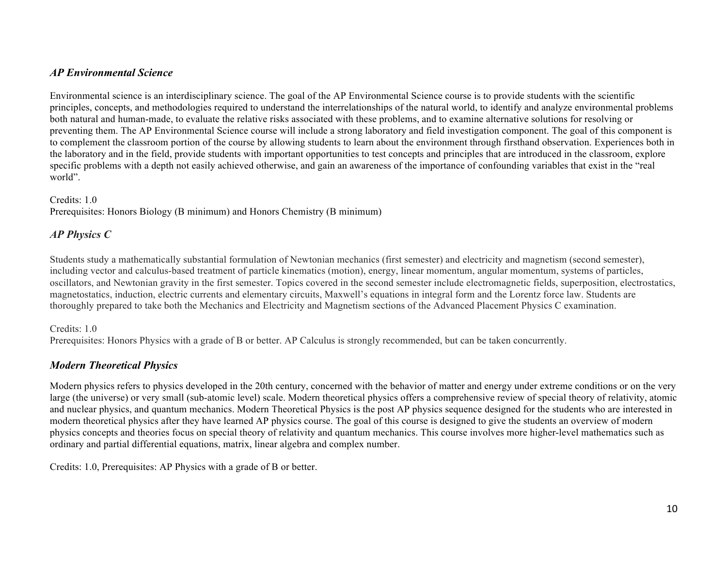## *AP Environmental Science*

Environmental science is an interdisciplinary science. The goal of the AP Environmental Science course is to provide students with the scientific principles, concepts, and methodologies required to understand the interrelationships of the natural world, to identify and analyze environmental problems both natural and human-made, to evaluate the relative risks associated with these problems, and to examine alternative solutions for resolving or preventing them. The AP Environmental Science course will include a strong laboratory and field investigation component. The goal of this component is to complement the classroom portion of the course by allowing students to learn about the environment through firsthand observation. Experiences both in the laboratory and in the field, provide students with important opportunities to test concepts and principles that are introduced in the classroom, explore specific problems with a depth not easily achieved otherwise, and gain an awareness of the importance of confounding variables that exist in the "real world".

#### Credits: 1.0

Prerequisites: Honors Biology (B minimum) and Honors Chemistry (B minimum)

### *AP Physics C*

Students study a mathematically substantial formulation of Newtonian mechanics (first semester) and electricity and magnetism (second semester), including vector and calculus-based treatment of particle kinematics (motion), energy, linear momentum, angular momentum, systems of particles, oscillators, and Newtonian gravity in the first semester. Topics covered in the second semester include electromagnetic fields, superposition, electrostatics, magnetostatics, induction, electric currents and elementary circuits, Maxwell's equations in integral form and the Lorentz force law. Students are thoroughly prepared to take both the Mechanics and Electricity and Magnetism sections of the Advanced Placement Physics C examination.

#### Credits: 1.0

Prerequisites: Honors Physics with a grade of B or better. AP Calculus is strongly recommended, but can be taken concurrently.

### *Modern Theoretical Physics*

Modern physics refers to physics developed in the 20th century, concerned with the behavior of matter and energy under extreme conditions or on the very large (the universe) or very small (sub-atomic level) scale. Modern theoretical physics offers a comprehensive review of special theory of relativity, atomic and nuclear physics, and quantum mechanics. Modern Theoretical Physics is the post AP physics sequence designed for the students who are interested in modern theoretical physics after they have learned AP physics course. The goal of this course is designed to give the students an overview of modern physics concepts and theories focus on special theory of relativity and quantum mechanics. This course involves more higher-level mathematics such as ordinary and partial differential equations, matrix, linear algebra and complex number.

Credits: 1.0, Prerequisites: AP Physics with a grade of B or better.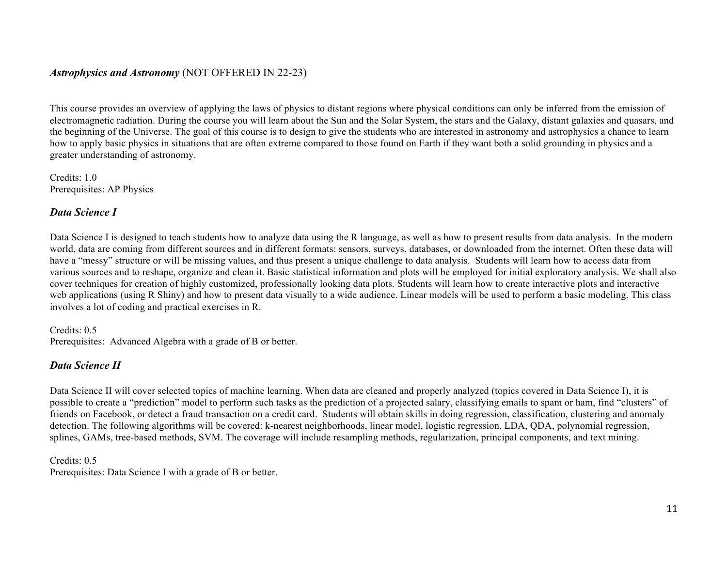## *Astrophysics and Astronomy* (NOT OFFERED IN 22-23)

This course provides an overview of applying the laws of physics to distant regions where physical conditions can only be inferred from the emission of electromagnetic radiation. During the course you will learn about the Sun and the Solar System, the stars and the Galaxy, distant galaxies and quasars, and the beginning of the Universe. The goal of this course is to design to give the students who are interested in astronomy and astrophysics a chance to learn how to apply basic physics in situations that are often extreme compared to those found on Earth if they want both a solid grounding in physics and a greater understanding of astronomy.

Credits: 1.0 Prerequisites: AP Physics

### *Data Science I*

Data Science I is designed to teach students how to analyze data using the R language, as well as how to present results from data analysis. In the modern world, data are coming from different sources and in different formats: sensors, surveys, databases, or downloaded from the internet. Often these data will have a "messy" structure or will be missing values, and thus present a unique challenge to data analysis. Students will learn how to access data from various sources and to reshape, organize and clean it. Basic statistical information and plots will be employed for initial exploratory analysis. We shall also cover techniques for creation of highly customized, professionally looking data plots. Students will learn how to create interactive plots and interactive web applications (using R Shiny) and how to present data visually to a wide audience. Linear models will be used to perform a basic modeling. This class involves a lot of coding and practical exercises in R.

Credits: 0.5 Prerequisites: Advanced Algebra with a grade of B or better.

### *Data Science II*

Data Science II will cover selected topics of machine learning. When data are cleaned and properly analyzed (topics covered in Data Science I), it is possible to create a "prediction" model to perform such tasks as the prediction of a projected salary, classifying emails to spam or ham, find "clusters" of friends on Facebook, or detect a fraud transaction on a credit card. Students will obtain skills in doing regression, classification, clustering and anomaly detection. The following algorithms will be covered: k-nearest neighborhoods, linear model, logistic regression, LDA, QDA, polynomial regression, splines, GAMs, tree-based methods, SVM. The coverage will include resampling methods, regularization, principal components, and text mining.

Credits: 0.5 Prerequisites: Data Science I with a grade of B or better.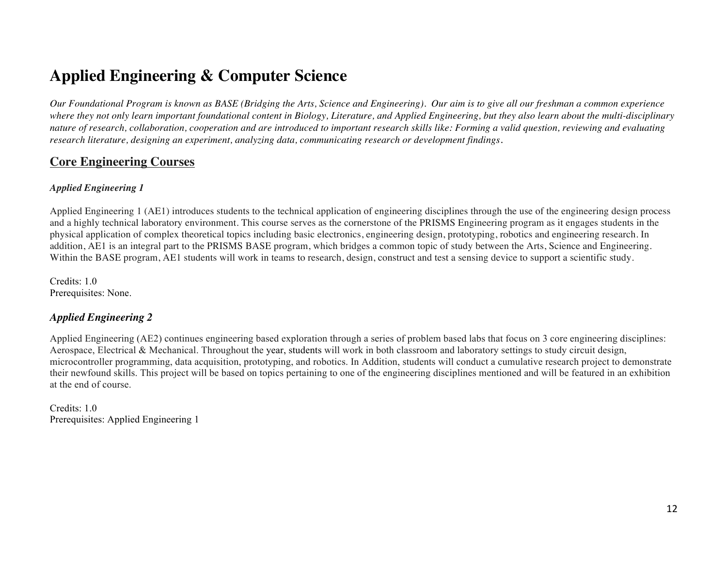# **Applied Engineering & Computer Science**

*Our Foundational Program is known as BASE (Bridging the Arts, Science and Engineering). Our aim is to give all our freshman a common experience*  where they not only learn important foundational content in Biology, Literature, and Applied Engineering, but they also learn about the multi-disciplinary *nature of research, collaboration, cooperation and are introduced to important research skills like: Forming a valid question, reviewing and evaluating research literature, designing an experiment, analyzing data, communicating research or development findings.* 

# **Core Engineering Courses**

#### *Applied Engineering 1*

Applied Engineering 1 (AE1) introduces students to the technical application of engineering disciplines through the use of the engineering design process and a highly technical laboratory environment. This course serves as the cornerstone of the PRISMS Engineering program as it engages students in the physical application of complex theoretical topics including basic electronics, engineering design, prototyping, robotics and engineering research. In addition, AE1 is an integral part to the PRISMS BASE program, which bridges a common topic of study between the Arts, Science and Engineering. Within the BASE program, AE1 students will work in teams to research, design, construct and test a sensing device to support a scientific study.

Credits: 1.0 Prerequisites: None.

# *Applied Engineering 2*

Applied Engineering (AE2) continues engineering based exploration through a series of problem based labs that focus on 3 core engineering disciplines: Aerospace, Electrical & Mechanical. Throughout the year, students will work in both classroom and laboratory settings to study circuit design, microcontroller programming, data acquisition, prototyping, and robotics. In Addition, students will conduct a cumulative research project to demonstrate their newfound skills. This project will be based on topics pertaining to one of the engineering disciplines mentioned and will be featured in an exhibition at the end of course.

Credits: 1.0 Prerequisites: Applied Engineering 1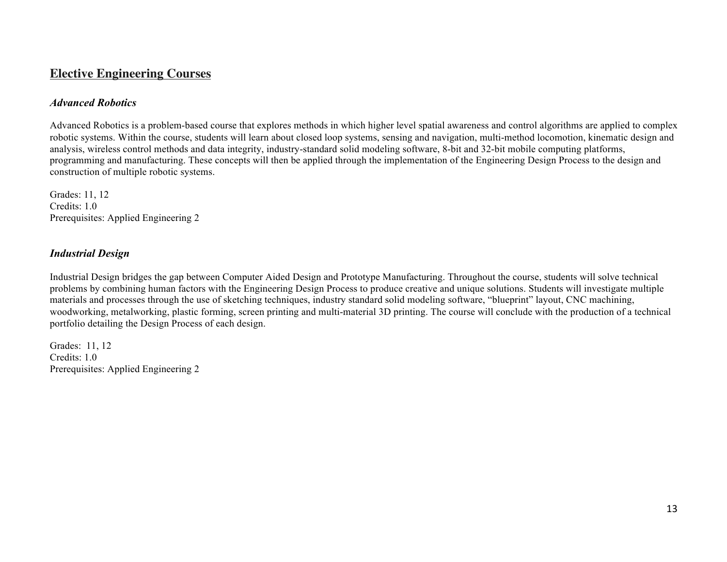# **Elective Engineering Courses**

### *Advanced Robotics*

Advanced Robotics is a problem-based course that explores methods in which higher level spatial awareness and control algorithms are applied to complex robotic systems. Within the course, students will learn about closed loop systems, sensing and navigation, multi-method locomotion, kinematic design and analysis, wireless control methods and data integrity, industry-standard solid modeling software, 8-bit and 32-bit mobile computing platforms, programming and manufacturing. These concepts will then be applied through the implementation of the Engineering Design Process to the design and construction of multiple robotic systems.

Grades: 11, 12 Credits: 1.0 Prerequisites: Applied Engineering 2

### *Industrial Design*

Industrial Design bridges the gap between Computer Aided Design and Prototype Manufacturing. Throughout the course, students will solve technical problems by combining human factors with the Engineering Design Process to produce creative and unique solutions. Students will investigate multiple materials and processes through the use of sketching techniques, industry standard solid modeling software, "blueprint" layout, CNC machining, woodworking, metalworking, plastic forming, screen printing and multi-material 3D printing. The course will conclude with the production of a technical portfolio detailing the Design Process of each design.

Grades: 11, 12 Credits: 1.0 Prerequisites: Applied Engineering 2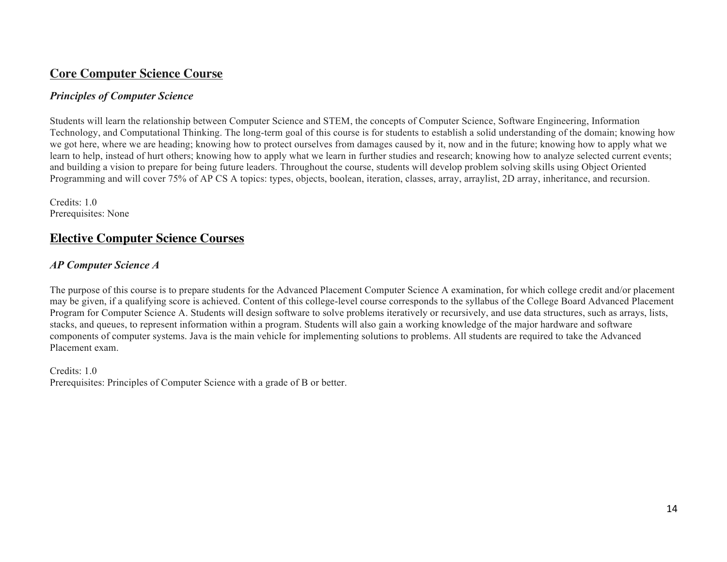# **Core Computer Science Course**

#### *Principles of Computer Science*

Students will learn the relationship between Computer Science and STEM, the concepts of Computer Science, Software Engineering, Information Technology, and Computational Thinking. The long-term goal of this course is for students to establish a solid understanding of the domain; knowing how we got here, where we are heading; knowing how to protect ourselves from damages caused by it, now and in the future; knowing how to apply what we learn to help, instead of hurt others; knowing how to apply what we learn in further studies and research; knowing how to analyze selected current events; and building a vision to prepare for being future leaders. Throughout the course, students will develop problem solving skills using Object Oriented Programming and will cover 75% of AP CS A topics: types, objects, boolean, iteration, classes, array, arraylist, 2D array, inheritance, and recursion.

Credits: 1.0 Prerequisites: None

# **Elective Computer Science Courses**

### *AP Computer Science A*

The purpose of this course is to prepare students for the Advanced Placement Computer Science A examination, for which college credit and/or placement may be given, if a qualifying score is achieved. Content of this college-level course corresponds to the syllabus of the College Board Advanced Placement Program for Computer Science A. Students will design software to solve problems iteratively or recursively, and use data structures, such as arrays, lists, stacks, and queues, to represent information within a program. Students will also gain a working knowledge of the major hardware and software components of computer systems. Java is the main vehicle for implementing solutions to problems. All students are required to take the Advanced Placement exam.

#### Credits: 1.0

Prerequisites: Principles of Computer Science with a grade of B or better.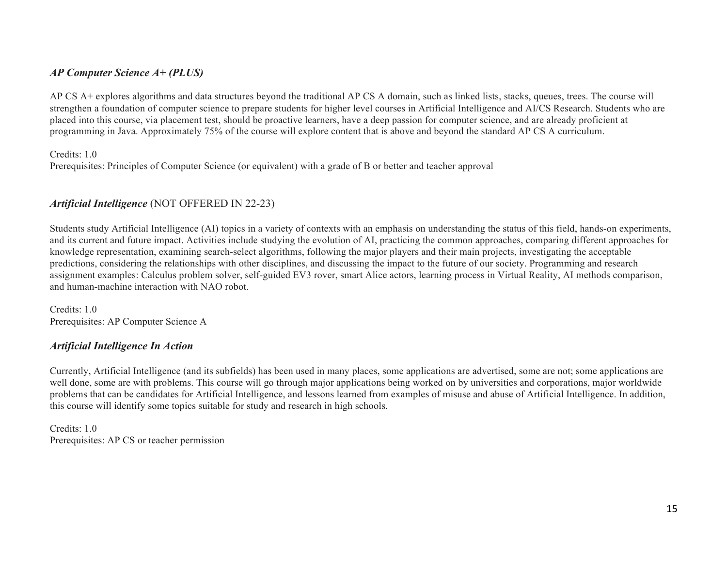## *AP Computer Science A+ (PLUS)*

AP CS A+ explores algorithms and data structures beyond the traditional AP CS A domain, such as linked lists, stacks, queues, trees. The course will strengthen a foundation of computer science to prepare students for higher level courses in Artificial Intelligence and AI/CS Research. Students who are placed into this course, via placement test, should be proactive learners, have a deep passion for computer science, and are already proficient at programming in Java. Approximately 75% of the course will explore content that is above and beyond the standard AP CS A curriculum.

Credits: 1.0

Prerequisites: Principles of Computer Science (or equivalent) with a grade of B or better and teacher approval

## *Artificial Intelligence* (NOT OFFERED IN 22-23)

Students study Artificial Intelligence (AI) topics in a variety of contexts with an emphasis on understanding the status of this field, hands-on experiments, and its current and future impact. Activities include studying the evolution of AI, practicing the common approaches, comparing different approaches for knowledge representation, examining search-select algorithms, following the major players and their main projects, investigating the acceptable predictions, considering the relationships with other disciplines, and discussing the impact to the future of our society. Programming and research assignment examples: Calculus problem solver, self-guided EV3 rover, smart Alice actors, learning process in Virtual Reality, AI methods comparison, and human-machine interaction with NAO robot.

Credits: 1.0 Prerequisites: AP Computer Science A

#### *Artificial Intelligence In Action*

Currently, Artificial Intelligence (and its subfields) has been used in many places, some applications are advertised, some are not; some applications are well done, some are with problems. This course will go through major applications being worked on by universities and corporations, major worldwide problems that can be candidates for Artificial Intelligence, and lessons learned from examples of misuse and abuse of Artificial Intelligence. In addition, this course will identify some topics suitable for study and research in high schools.

Credits: 1.0 Prerequisites: AP CS or teacher permission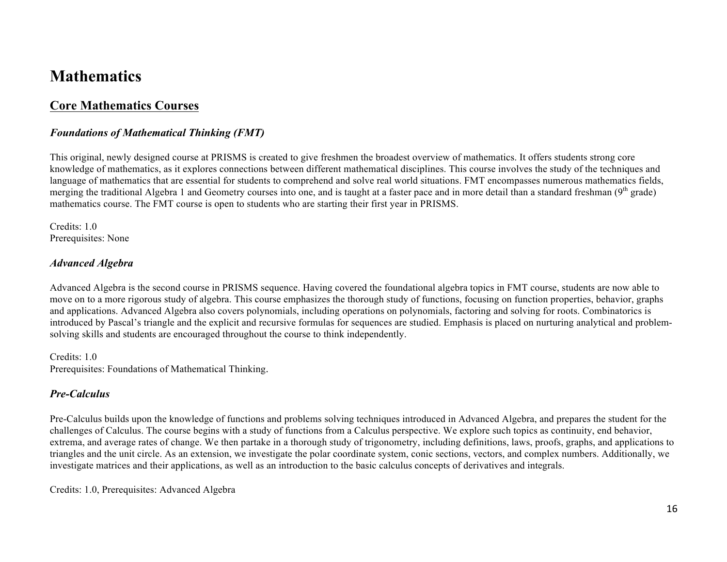# **Mathematics**

# **Core Mathematics Courses**

### *Foundations of Mathematical Thinking (FMT)*

This original, newly designed course at PRISMS is created to give freshmen the broadest overview of mathematics. It offers students strong core knowledge of mathematics, as it explores connections between different mathematical disciplines. This course involves the study of the techniques and language of mathematics that are essential for students to comprehend and solve real world situations. FMT encompasses numerous mathematics fields, merging the traditional Algebra 1 and Geometry courses into one, and is taught at a faster pace and in more detail than a standard freshman  $(9<sup>th</sup> grade)$ mathematics course. The FMT course is open to students who are starting their first year in PRISMS.

Credits: 1.0 Prerequisites: None

#### *Advanced Algebra*

Advanced Algebra is the second course in PRISMS sequence. Having covered the foundational algebra topics in FMT course, students are now able to move on to a more rigorous study of algebra. This course emphasizes the thorough study of functions, focusing on function properties, behavior, graphs and applications. Advanced Algebra also covers polynomials, including operations on polynomials, factoring and solving for roots. Combinatorics is introduced by Pascal's triangle and the explicit and recursive formulas for sequences are studied. Emphasis is placed on nurturing analytical and problemsolving skills and students are encouraged throughout the course to think independently.

Credits: 1.0 Prerequisites: Foundations of Mathematical Thinking.

### *Pre-Calculus*

Pre-Calculus builds upon the knowledge of functions and problems solving techniques introduced in Advanced Algebra, and prepares the student for the challenges of Calculus. The course begins with a study of functions from a Calculus perspective. We explore such topics as continuity, end behavior, extrema, and average rates of change. We then partake in a thorough study of trigonometry, including definitions, laws, proofs, graphs, and applications to triangles and the unit circle. As an extension, we investigate the polar coordinate system, conic sections, vectors, and complex numbers. Additionally, we investigate matrices and their applications, as well as an introduction to the basic calculus concepts of derivatives and integrals.

Credits: 1.0, Prerequisites: Advanced Algebra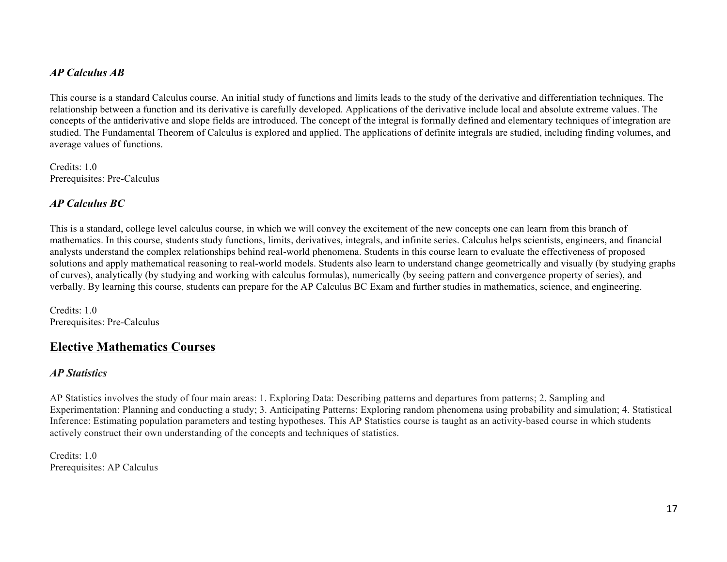## *AP Calculus AB*

This course is a standard Calculus course. An initial study of functions and limits leads to the study of the derivative and differentiation techniques. The relationship between a function and its derivative is carefully developed. Applications of the derivative include local and absolute extreme values. The concepts of the antiderivative and slope fields are introduced. The concept of the integral is formally defined and elementary techniques of integration are studied. The Fundamental Theorem of Calculus is explored and applied. The applications of definite integrals are studied, including finding volumes, and average values of functions.

Credits: 1.0 Prerequisites: Pre-Calculus

## *AP Calculus BC*

This is a standard, college level calculus course, in which we will convey the excitement of the new concepts one can learn from this branch of mathematics. In this course, students study functions, limits, derivatives, integrals, and infinite series. Calculus helps scientists, engineers, and financial analysts understand the complex relationships behind real-world phenomena. Students in this course learn to evaluate the effectiveness of proposed solutions and apply mathematical reasoning to real-world models. Students also learn to understand change geometrically and visually (by studying graphs of curves), analytically (by studying and working with calculus formulas), numerically (by seeing pattern and convergence property of series), and verbally. By learning this course, students can prepare for the AP Calculus BC Exam and further studies in mathematics, science, and engineering.

Credits: 1.0 Prerequisites: Pre-Calculus

# **Elective Mathematics Courses**

#### *AP Statistics*

AP Statistics involves the study of four main areas: 1. Exploring Data: Describing patterns and departures from patterns; 2. Sampling and Experimentation: Planning and conducting a study; 3. Anticipating Patterns: Exploring random phenomena using probability and simulation; 4. Statistical Inference: Estimating population parameters and testing hypotheses. This AP Statistics course is taught as an activity-based course in which students actively construct their own understanding of the concepts and techniques of statistics.

Credits: 1.0 Prerequisites: AP Calculus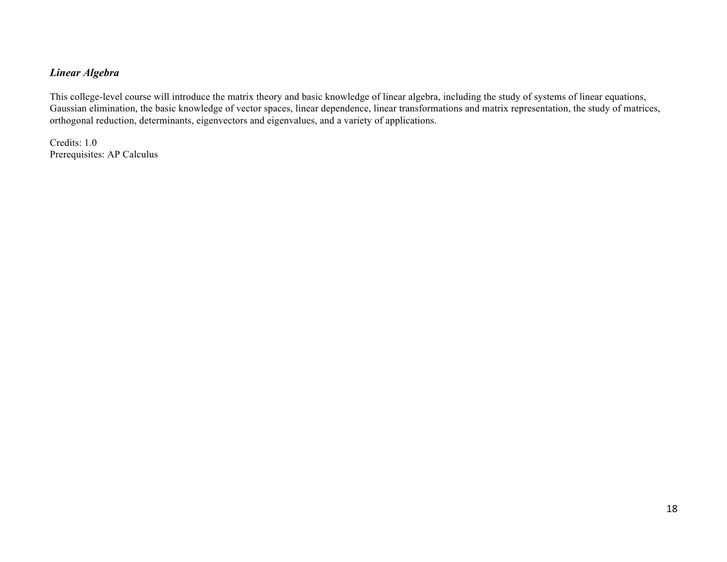## *Linear Algebra*

This college-level course will introduce the matrix theory and basic knowledge of linear algebra, including the study of systems of linear equations, Gaussian elimination, the basic knowledge of vector spaces, linear dependence, linear transformations and matrix representation, the study of matrices, orthogonal reduction, determinants, eigenvectors and eigenvalues, and a variety of applications.

Credits: 1.0 Prerequisites: AP Calculus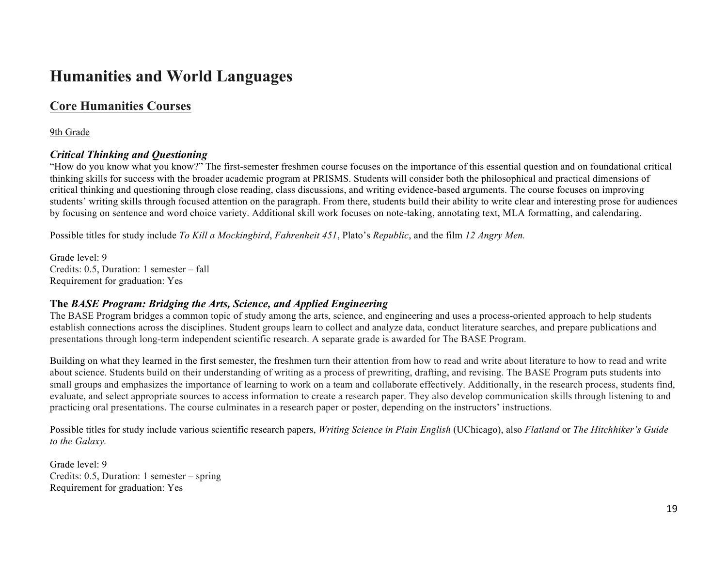# **Humanities and World Languages**

# **Core Humanities Courses**

9th Grade

### *Critical Thinking and Questioning*

"How do you know what you know?" The first-semester freshmen course focuses on the importance of this essential question and on foundational critical thinking skills for success with the broader academic program at PRISMS. Students will consider both the philosophical and practical dimensions of critical thinking and questioning through close reading, class discussions, and writing evidence-based arguments. The course focuses on improving students' writing skills through focused attention on the paragraph. From there, students build their ability to write clear and interesting prose for audiences by focusing on sentence and word choice variety. Additional skill work focuses on note-taking, annotating text, MLA formatting, and calendaring.

Possible titles for study include *To Kill a Mockingbird*, *Fahrenheit 451*, Plato's *Republic*, and the film *12 Angry Men.*

Grade level: 9 Credits: 0.5, Duration: 1 semester – fall Requirement for graduation: Yes

### **The** *BASE Program: Bridging the Arts, Science, and Applied Engineering*

The BASE Program bridges a common topic of study among the arts, science, and engineering and uses a process-oriented approach to help students establish connections across the disciplines. Student groups learn to collect and analyze data, conduct literature searches, and prepare publications and presentations through long-term independent scientific research. A separate grade is awarded for The BASE Program.

Building on what they learned in the first semester, the freshmen turn their attention from how to read and write about literature to how to read and write about science. Students build on their understanding of writing as a process of prewriting, drafting, and revising. The BASE Program puts students into small groups and emphasizes the importance of learning to work on a team and collaborate effectively. Additionally, in the research process, students find, evaluate, and select appropriate sources to access information to create a research paper. They also develop communication skills through listening to and practicing oral presentations. The course culminates in a research paper or poster, depending on the instructors' instructions.

Possible titles for study include various scientific research papers, *Writing Science in Plain English* (UChicago), also *Flatland* or *The Hitchhiker's Guide to the Galaxy.*

Grade level: 9 Credits: 0.5, Duration: 1 semester – spring Requirement for graduation: Yes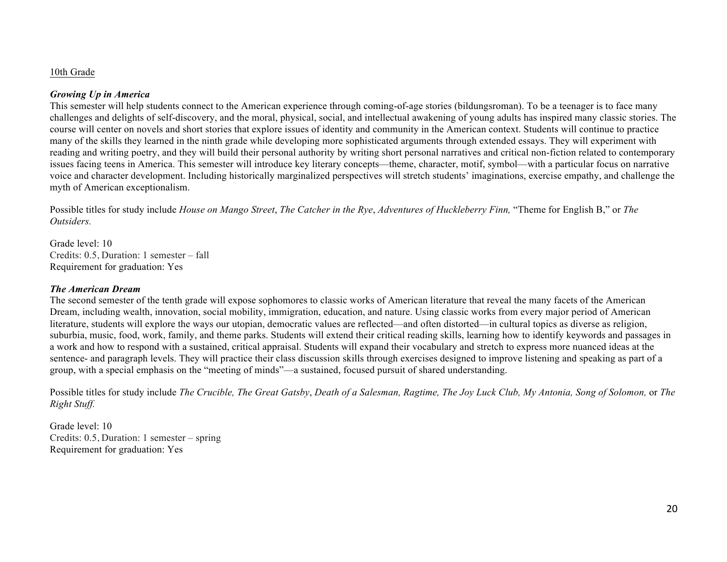#### 10th Grade

#### *Growing Up in America*

This semester will help students connect to the American experience through coming-of-age stories (bildungsroman). To be a teenager is to face many challenges and delights of self-discovery, and the moral, physical, social, and intellectual awakening of young adults has inspired many classic stories. The course will center on novels and short stories that explore issues of identity and community in the American context. Students will continue to practice many of the skills they learned in the ninth grade while developing more sophisticated arguments through extended essays. They will experiment with reading and writing poetry, and they will build their personal authority by writing short personal narratives and critical non-fiction related to contemporary issues facing teens in America. This semester will introduce key literary concepts—theme, character, motif, symbol—with a particular focus on narrative voice and character development. Including historically marginalized perspectives will stretch students' imaginations, exercise empathy, and challenge the myth of American exceptionalism.

Possible titles for study include *House on Mango Street*, *The Catcher in the Rye*, *Adventures of Huckleberry Finn,* "Theme for English B," or *The Outsiders.*

Grade level: 10 Credits: 0.5, Duration: 1 semester – fall Requirement for graduation: Yes

#### *The American Dream*

The second semester of the tenth grade will expose sophomores to classic works of American literature that reveal the many facets of the American Dream, including wealth, innovation, social mobility, immigration, education, and nature. Using classic works from every major period of American literature, students will explore the ways our utopian, democratic values are reflected—and often distorted—in cultural topics as diverse as religion, suburbia, music, food, work, family, and theme parks. Students will extend their critical reading skills, learning how to identify keywords and passages in a work and how to respond with a sustained, critical appraisal. Students will expand their vocabulary and stretch to express more nuanced ideas at the sentence- and paragraph levels. They will practice their class discussion skills through exercises designed to improve listening and speaking as part of a group, with a special emphasis on the "meeting of minds"—a sustained, focused pursuit of shared understanding.

Possible titles for study include *The Crucible, The Great Gatsby*, *Death of a Salesman, Ragtime, The Joy Luck Club, My Antonia, Song of Solomon,* or *The Right Stuff.*

Grade level: 10 Credits: 0.5, Duration: 1 semester – spring Requirement for graduation: Yes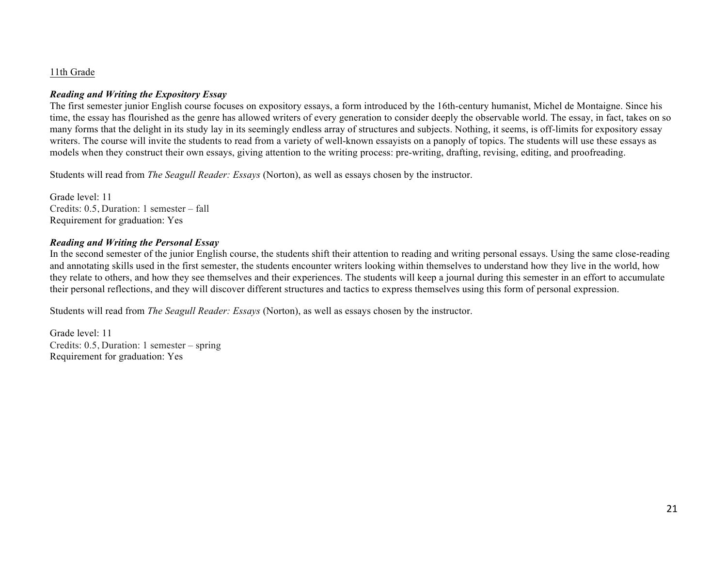#### 11th Grade

#### *Reading and Writing the Expository Essay*

The first semester junior English course focuses on expository essays, a form introduced by the 16th-century humanist, Michel de Montaigne. Since his time, the essay has flourished as the genre has allowed writers of every generation to consider deeply the observable world. The essay, in fact, takes on so many forms that the delight in its study lay in its seemingly endless array of structures and subjects. Nothing, it seems, is off-limits for expository essay writers. The course will invite the students to read from a variety of well-known essayists on a panoply of topics. The students will use these essays as models when they construct their own essays, giving attention to the writing process: pre-writing, drafting, revising, editing, and proofreading.

Students will read from *The Seagull Reader: Essays* (Norton), as well as essays chosen by the instructor.

Grade level: 11 Credits: 0.5, Duration: 1 semester – fall Requirement for graduation: Yes

#### *Reading and Writing the Personal Essay*

In the second semester of the junior English course, the students shift their attention to reading and writing personal essays. Using the same close-reading and annotating skills used in the first semester, the students encounter writers looking within themselves to understand how they live in the world, how they relate to others, and how they see themselves and their experiences. The students will keep a journal during this semester in an effort to accumulate their personal reflections, and they will discover different structures and tactics to express themselves using this form of personal expression.

Students will read from *The Seagull Reader: Essays* (Norton), as well as essays chosen by the instructor.

Grade level: 11 Credits: 0.5, Duration: 1 semester – spring Requirement for graduation: Yes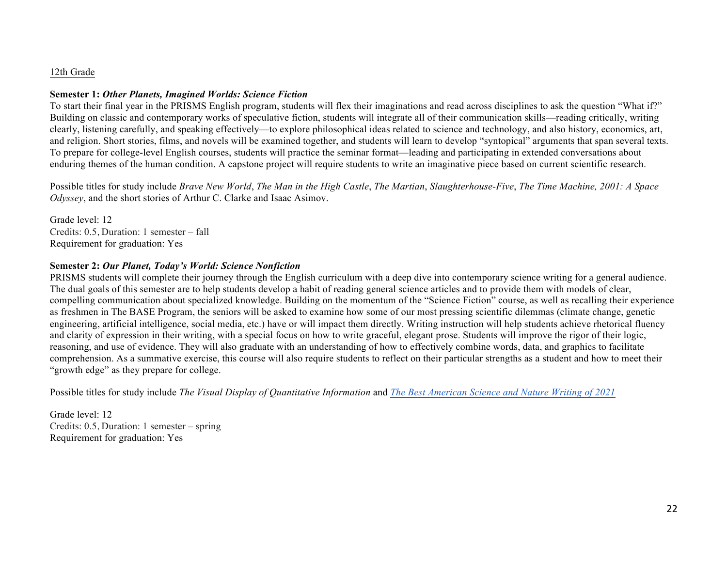#### 12th Grade

#### **Semester 1:** *Other Planets, Imagined Worlds: Science Fiction*

To start their final year in the PRISMS English program, students will flex their imaginations and read across disciplines to ask the question "What if?" Building on classic and contemporary works of speculative fiction, students will integrate all of their communication skills—reading critically, writing clearly, listening carefully, and speaking effectively—to explore philosophical ideas related to science and technology, and also history, economics, art, and religion. Short stories, films, and novels will be examined together, and students will learn to develop "syntopical" arguments that span several texts. To prepare for college-level English courses, students will practice the seminar format—leading and participating in extended conversations about enduring themes of the human condition. A capstone project will require students to write an imaginative piece based on current scientific research.

Possible titles for study include *Brave New World*, *The Man in the High Castle*, *The Martian*, *Slaughterhouse-Five*, *The Time Machine, 2001: A Space Odyssey*, and the short stories of Arthur C. Clarke and Isaac Asimov.

Grade level: 12 Credits: 0.5, Duration: 1 semester – fall Requirement for graduation: Yes

#### **Semester 2:** *Our Planet, Today's World: Science Nonfiction*

PRISMS students will complete their journey through the English curriculum with a deep dive into contemporary science writing for a general audience. The dual goals of this semester are to help students develop a habit of reading general science articles and to provide them with models of clear, compelling communication about specialized knowledge. Building on the momentum of the "Science Fiction" course, as well as recalling their experience as freshmen in The BASE Program, the seniors will be asked to examine how some of our most pressing scientific dilemmas (climate change, genetic engineering, artificial intelligence, social media, etc.) have or will impact them directly. Writing instruction will help students achieve rhetorical fluency and clarity of expression in their writing, with a special focus on how to write graceful, elegant prose. Students will improve the rigor of their logic, reasoning, and use of evidence. They will also graduate with an understanding of how to effectively combine words, data, and graphics to facilitate comprehension. As a summative exercise, this course will also require students to reflect on their particular strengths as a student and how to meet their "growth edge" as they prepare for college.

Possible titles for study include *The Visual Display of Quantitative Information* and *The Best American Science and Nature Writing of 2021*

Grade level: 12 Credits: 0.5, Duration: 1 semester – spring Requirement for graduation: Yes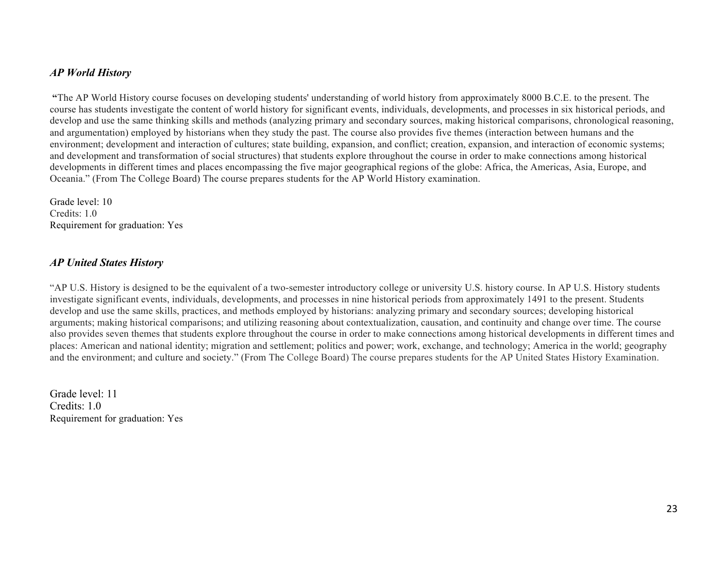#### *AP World History*

**"**The AP World History course focuses on developing students' understanding of world history from approximately 8000 B.C.E. to the present. The course has students investigate the content of world history for significant events, individuals, developments, and processes in six historical periods, and develop and use the same thinking skills and methods (analyzing primary and secondary sources, making historical comparisons, chronological reasoning, and argumentation) employed by historians when they study the past. The course also provides five themes (interaction between humans and the environment; development and interaction of cultures; state building, expansion, and conflict; creation, expansion, and interaction of economic systems; and development and transformation of social structures) that students explore throughout the course in order to make connections among historical developments in different times and places encompassing the five major geographical regions of the globe: Africa, the Americas, Asia, Europe, and Oceania." (From The College Board) The course prepares students for the AP World History examination.

Grade level: 10 Credits: 1.0 Requirement for graduation: Yes

#### *AP United States History*

"AP U.S. History is designed to be the equivalent of a two-semester introductory college or university U.S. history course. In AP U.S. History students investigate significant events, individuals, developments, and processes in nine historical periods from approximately 1491 to the present. Students develop and use the same skills, practices, and methods employed by historians: analyzing primary and secondary sources; developing historical arguments; making historical comparisons; and utilizing reasoning about contextualization, causation, and continuity and change over time. The course also provides seven themes that students explore throughout the course in order to make connections among historical developments in different times and places: American and national identity; migration and settlement; politics and power; work, exchange, and technology; America in the world; geography and the environment; and culture and society." (From The College Board) The course prepares students for the AP United States History Examination.

Grade level: 11 Credits: 1.0 Requirement for graduation: Yes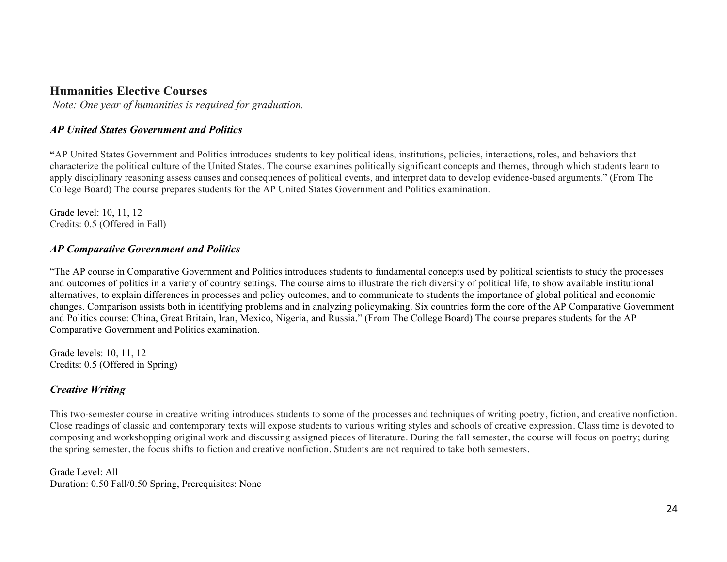# **Humanities Elective Courses**

*Note: One year of humanities is required for graduation.*

## *AP United States Government and Politics*

**"**AP United States Government and Politics introduces students to key political ideas, institutions, policies, interactions, roles, and behaviors that characterize the political culture of the United States. The course examines politically significant concepts and themes, through which students learn to apply disciplinary reasoning assess causes and consequences of political events, and interpret data to develop evidence-based arguments." (From The College Board) The course prepares students for the AP United States Government and Politics examination.

Grade level: 10, 11, 12 Credits: 0.5 (Offered in Fall)

### *AP Comparative Government and Politics*

"The AP course in Comparative Government and Politics introduces students to fundamental concepts used by political scientists to study the processes and outcomes of politics in a variety of country settings. The course aims to illustrate the rich diversity of political life, to show available institutional alternatives, to explain differences in processes and policy outcomes, and to communicate to students the importance of global political and economic changes. Comparison assists both in identifying problems and in analyzing policymaking. Six countries form the core of the AP Comparative Government and Politics course: China, Great Britain, Iran, Mexico, Nigeria, and Russia." (From The College Board) The course prepares students for the AP Comparative Government and Politics examination.

Grade levels: 10, 11, 12 Credits: 0.5 (Offered in Spring)

# *Creative Writing*

This two-semester course in creative writing introduces students to some of the processes and techniques of writing poetry, fiction, and creative nonfiction. Close readings of classic and contemporary texts will expose students to various writing styles and schools of creative expression. Class time is devoted to composing and workshopping original work and discussing assigned pieces of literature. During the fall semester, the course will focus on poetry; during the spring semester, the focus shifts to fiction and creative nonfiction. Students are not required to take both semesters.

Grade Level: All Duration: 0.50 Fall/0.50 Spring, Prerequisites: None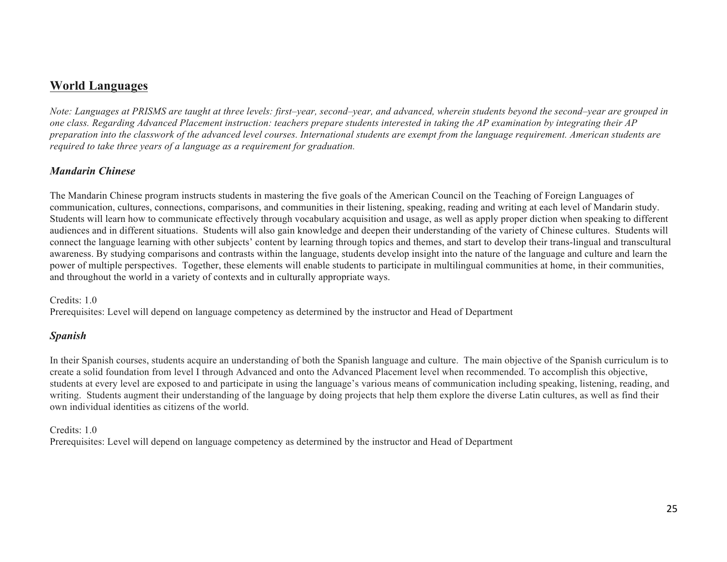# **World Languages**

*Note: Languages at PRISMS are taught at three levels: first–year, second–year, and advanced, wherein students beyond the second–year are grouped in one class. Regarding Advanced Placement instruction: teachers prepare students interested in taking the AP examination by integrating their AP preparation into the classwork of the advanced level courses. International students are exempt from the language requirement. American students are required to take three years of a language as a requirement for graduation.*

#### *Mandarin Chinese*

The Mandarin Chinese program instructs students in mastering the five goals of the American Council on the Teaching of Foreign Languages of communication, cultures, connections, comparisons, and communities in their listening, speaking, reading and writing at each level of Mandarin study. Students will learn how to communicate effectively through vocabulary acquisition and usage, as well as apply proper diction when speaking to different audiences and in different situations. Students will also gain knowledge and deepen their understanding of the variety of Chinese cultures. Students will connect the language learning with other subjects' content by learning through topics and themes, and start to develop their trans-lingual and transcultural awareness. By studying comparisons and contrasts within the language, students develop insight into the nature of the language and culture and learn the power of multiple perspectives. Together, these elements will enable students to participate in multilingual communities at home, in their communities, and throughout the world in a variety of contexts and in culturally appropriate ways.

#### Credits: 1.0

Prerequisites: Level will depend on language competency as determined by the instructor and Head of Department

# *Spanish*

In their Spanish courses, students acquire an understanding of both the Spanish language and culture. The main objective of the Spanish curriculum is to create a solid foundation from level I through Advanced and onto the Advanced Placement level when recommended. To accomplish this objective, students at every level are exposed to and participate in using the language's various means of communication including speaking, listening, reading, and writing. Students augment their understanding of the language by doing projects that help them explore the diverse Latin cultures, as well as find their own individual identities as citizens of the world.

#### Credits: 1.0

Prerequisites: Level will depend on language competency as determined by the instructor and Head of Department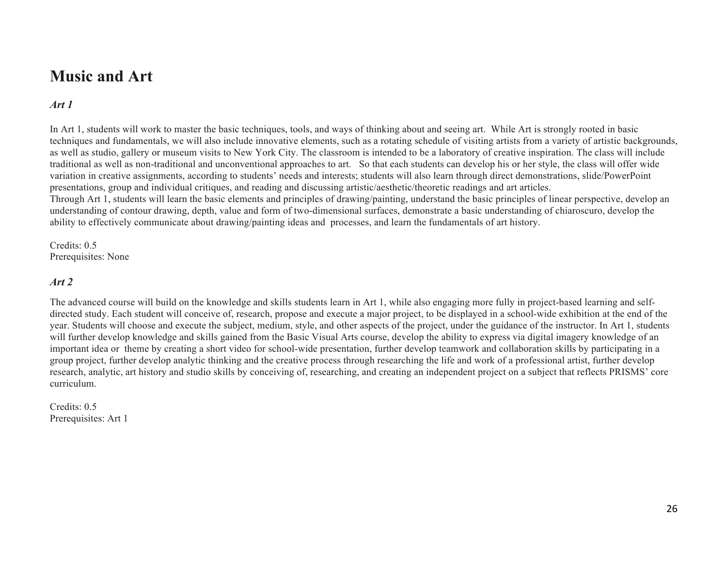# **Music and Art**

# *Art 1*

In Art 1, students will work to master the basic techniques, tools, and ways of thinking about and seeing art. While Art is strongly rooted in basic techniques and fundamentals, we will also include innovative elements, such as a rotating schedule of visiting artists from a variety of artistic backgrounds, as well as studio, gallery or museum visits to New York City. The classroom is intended to be a laboratory of creative inspiration. The class will include traditional as well as non-traditional and unconventional approaches to art. So that each students can develop his or her style, the class will offer wide variation in creative assignments, according to students' needs and interests; students will also learn through direct demonstrations, slide/PowerPoint presentations, group and individual critiques, and reading and discussing artistic/aesthetic/theoretic readings and art articles. Through Art 1, students will learn the basic elements and principles of drawing/painting, understand the basic principles of linear perspective, develop an understanding of contour drawing, depth, value and form of two-dimensional surfaces, demonstrate a basic understanding of chiaroscuro, develop the ability to effectively communicate about drawing/painting ideas and processes, and learn the fundamentals of art history.

Credits: 0.5 Prerequisites: None

#### *Art 2*

The advanced course will build on the knowledge and skills students learn in Art 1, while also engaging more fully in project-based learning and selfdirected study. Each student will conceive of, research, propose and execute a major project, to be displayed in a school-wide exhibition at the end of the year. Students will choose and execute the subject, medium, style, and other aspects of the project, under the guidance of the instructor. In Art 1, students will further develop knowledge and skills gained from the Basic Visual Arts course, develop the ability to express via digital imagery knowledge of an important idea or theme by creating a short video for school-wide presentation, further develop teamwork and collaboration skills by participating in a group project, further develop analytic thinking and the creative process through researching the life and work of a professional artist, further develop research, analytic, art history and studio skills by conceiving of, researching, and creating an independent project on a subject that reflects PRISMS' core curriculum.

Credits: 0.5 Prerequisites: Art 1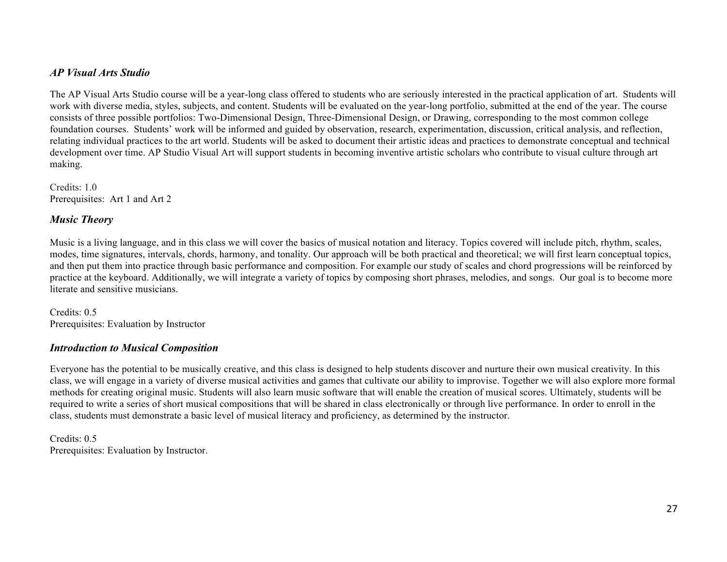#### *AP Visual Arts Studio*

The AP Visual Arts Studio course will be a year-long class offered to students who are seriously interested in the practical application of art. Students will work with diverse media, styles, subjects, and content. Students will be evaluated on the year-long portfolio, submitted at the end of the year. The course consists of three possible portfolios: Two-Dimensional Design, Three-Dimensional Design, or Drawing, corresponding to the most common college foundation courses. Students' work will be informed and guided by observation, research, experimentation, discussion, critical analysis, and reflection, relating individual practices to the art world. Students will be asked to document their artistic ideas and practices to demonstrate conceptual and technical development over time. AP Studio Visual Art will support students in becoming inventive artistic scholars who contribute to visual culture through art making.

Credits: 1.0 Prerequisites: Art 1 and Art 2

#### *Music Theory*

Music is a living language, and in this class we will cover the basics of musical notation and literacy. Topics covered will include pitch, rhythm, scales, modes, time signatures, intervals, chords, harmony, and tonality. Our approach will be both practical and theoretical; we will first learn conceptual topics, and then put them into practice through basic performance and composition. For example our study of scales and chord progressions will be reinforced by practice at the keyboard. Additionally, we will integrate a variety of topics by composing short phrases, melodies, and songs. Our goal is to become more literate and sensitive musicians.

Credits: 0.5 Prerequisites: Evaluation by Instructor

#### *Introduction to Musical Composition*

Everyone has the potential to be musically creative, and this class is designed to help students discover and nurture their own musical creativity. In this class, we will engage in a variety of diverse musical activities and games that cultivate our ability to improvise. Together we will also explore more formal methods for creating original music. Students will also learn music software that will enable the creation of musical scores. Ultimately, students will be required to write a series of short musical compositions that will be shared in class electronically or through live performance. In order to enroll in the class, students must demonstrate a basic level of musical literacy and proficiency, as determined by the instructor.

Credits: 0.5 Prerequisites: Evaluation by Instructor.